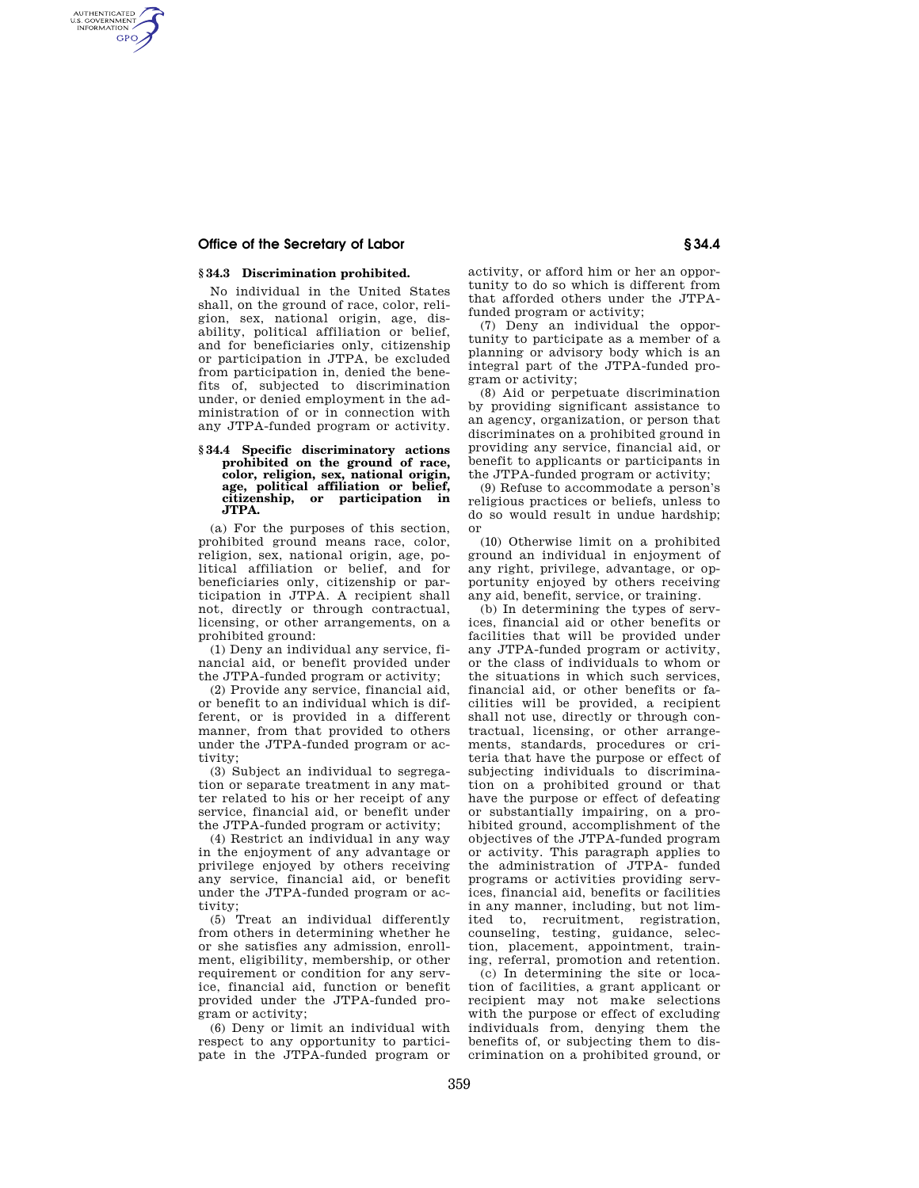## **Office of the Secretary of Labor § 34.4**

AUTHENTICATED<br>U.S. GOVERNMENT<br>INFORMATION **GPO** 

## **§ 34.3 Discrimination prohibited.**

No individual in the United States shall, on the ground of race, color, religion, sex, national origin, age, disability, political affiliation or belief, and for beneficiaries only, citizenship or participation in JTPA, be excluded from participation in, denied the benefits of, subjected to discrimination under, or denied employment in the administration of or in connection with any JTPA-funded program or activity.

## **§ 34.4 Specific discriminatory actions prohibited on the ground of race, color, religion, sex, national origin, age, political affiliation or belief, citizenship, or participation in JTPA.**

(a) For the purposes of this section, prohibited ground means race, color, religion, sex, national origin, age, political affiliation or belief, and for beneficiaries only, citizenship or participation in JTPA. A recipient shall not, directly or through contractual, licensing, or other arrangements, on a prohibited ground:

(1) Deny an individual any service, financial aid, or benefit provided under the JTPA-funded program or activity;

(2) Provide any service, financial aid, or benefit to an individual which is different, or is provided in a different manner, from that provided to others under the JTPA-funded program or activity;

(3) Subject an individual to segregation or separate treatment in any matter related to his or her receipt of any service, financial aid, or benefit under the JTPA-funded program or activity;

(4) Restrict an individual in any way in the enjoyment of any advantage or privilege enjoyed by others receiving any service, financial aid, or benefit under the JTPA-funded program or activity;

(5) Treat an individual differently from others in determining whether he or she satisfies any admission, enrollment, eligibility, membership, or other requirement or condition for any service, financial aid, function or benefit provided under the JTPA-funded program or activity;

(6) Deny or limit an individual with respect to any opportunity to participate in the JTPA-funded program or activity, or afford him or her an opportunity to do so which is different from that afforded others under the JTPAfunded program or activity;

(7) Deny an individual the opportunity to participate as a member of a planning or advisory body which is an integral part of the JTPA-funded program or activity;

(8) Aid or perpetuate discrimination by providing significant assistance to an agency, organization, or person that discriminates on a prohibited ground in providing any service, financial aid, or benefit to applicants or participants in the JTPA-funded program or activity;

(9) Refuse to accommodate a person's religious practices or beliefs, unless to do so would result in undue hardship; or

(10) Otherwise limit on a prohibited ground an individual in enjoyment of any right, privilege, advantage, or opportunity enjoyed by others receiving any aid, benefit, service, or training.

(b) In determining the types of services, financial aid or other benefits or facilities that will be provided under any JTPA-funded program or activity, or the class of individuals to whom or the situations in which such services, financial aid, or other benefits or facilities will be provided, a recipient shall not use, directly or through contractual, licensing, or other arrangements, standards, procedures or criteria that have the purpose or effect of subjecting individuals to discrimination on a prohibited ground or that have the purpose or effect of defeating or substantially impairing, on a prohibited ground, accomplishment of the objectives of the JTPA-funded program or activity. This paragraph applies to the administration of JTPA- funded programs or activities providing services, financial aid, benefits or facilities in any manner, including, but not limited to, recruitment, registration, counseling, testing, guidance, selection, placement, appointment, training, referral, promotion and retention.

(c) In determining the site or location of facilities, a grant applicant or recipient may not make selections with the purpose or effect of excluding individuals from, denying them the benefits of, or subjecting them to discrimination on a prohibited ground, or